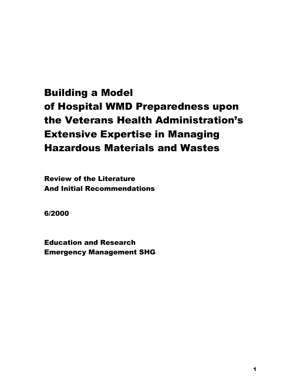# Building a Model of Hospital WMD Preparedness upon the Veterans Health Administration's Extensive Expertise in Managing Hazardous Materials and Wastes

Review of the Literature And Initial Recommendations

6/2000

Education and Research Emergency Management SHG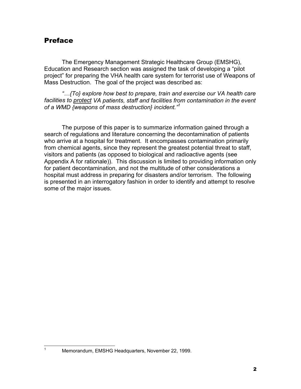# Preface

The Emergency Management Strategic Healthcare Group (EMSHG), Education and Research section was assigned the task of developing a "pilot project" for preparing the VHA health care system for terrorist use of Weapons of Mass Destruction. The goal of the project was described as:

 *"…{To} explore how best to prepare, train and exercise our VA health care*  facilities to protect VA patients, staff and facilities from contamination in the event *of a WMD {weapons of mass destruction} incident."1*

The purpose of this paper is to summarize information gained through a search of regulations and literature concerning the decontamination of patients who arrive at a hospital for treatment. It encompasses contamination primarily from chemical agents, since they represent the greatest potential threat to staff, visitors and patients (as opposed to biological and radioactive agents (see Appendix A for rationale)). This discussion is limited to providing information only for patient decontamination, and not the multitude of other considerations a hospital must address in preparing for disasters and/or terrorism. The following is presented in an interrogatory fashion in order to identify and attempt to resolve some of the major issues.

|<br>1

Memorandum, EMSHG Headquarters, November 22, 1999.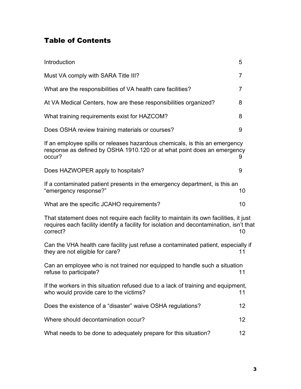# Table of Contents

| Introduction                                                                                                                                                                                  | 5              |  |
|-----------------------------------------------------------------------------------------------------------------------------------------------------------------------------------------------|----------------|--|
| Must VA comply with SARA Title III?                                                                                                                                                           | 7              |  |
| What are the responsibilities of VA health care facilities?                                                                                                                                   | $\overline{7}$ |  |
| At VA Medical Centers, how are these responsibilities organized?                                                                                                                              | 8              |  |
| What training requirements exist for HAZCOM?                                                                                                                                                  | 8              |  |
| Does OSHA review training materials or courses?                                                                                                                                               | 9              |  |
| If an employee spills or releases hazardous chemicals, is this an emergency<br>response as defined by OSHA 1910.120 or at what point does an emergency<br>occur?<br>9                         |                |  |
| Does HAZWOPER apply to hospitals?                                                                                                                                                             | 9              |  |
| If a contaminated patient presents in the emergency department, is this an<br>"emergency response?"                                                                                           | 10             |  |
| What are the specific JCAHO requirements?                                                                                                                                                     | 10             |  |
| That statement does not require each facility to maintain its own facilities, it just<br>requires each facility identify a facility for isolation and decontamination, isn't that<br>correct? | 10             |  |
| Can the VHA health care facility just refuse a contaminated patient, especially if<br>they are not eligible for care?                                                                         | 11             |  |
| Can an employee who is not trained nor equipped to handle such a situation<br>refuse to participate?                                                                                          | 11             |  |
| If the workers in this situation refused due to a lack of training and equipment,<br>who would provide care to the victims?                                                                   | 11             |  |
| Does the existence of a "disaster" waive OSHA regulations?                                                                                                                                    | 12             |  |
| Where should decontamination occur?                                                                                                                                                           | 12             |  |
| What needs to be done to adequately prepare for this situation?                                                                                                                               | 12             |  |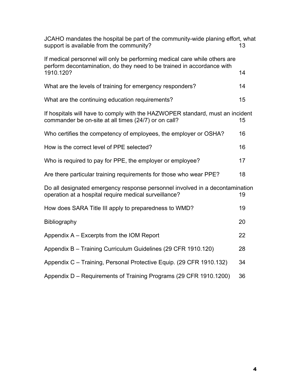| JCAHO mandates the hospital be part of the community-wide planing effort, what<br>support is available from the community?                                        | 13 |
|-------------------------------------------------------------------------------------------------------------------------------------------------------------------|----|
| If medical personnel will only be performing medical care while others are<br>perform decontamination, do they need to be trained in accordance with<br>1910.120? | 14 |
| What are the levels of training for emergency responders?                                                                                                         | 14 |
| What are the continuing education requirements?                                                                                                                   | 15 |
| If hospitals will have to comply with the HAZWOPER standard, must an incident<br>commander be on-site at all times (24/7) or on call?                             | 15 |
| Who certifies the competency of employees, the employer or OSHA?                                                                                                  | 16 |
| How is the correct level of PPE selected?                                                                                                                         | 16 |
| Who is required to pay for PPE, the employer or employee?                                                                                                         | 17 |
| Are there particular training requirements for those who wear PPE?                                                                                                | 18 |
| Do all designated emergency response personnel involved in a decontamination<br>operation at a hospital require medical surveillance?                             | 19 |
| How does SARA Title III apply to preparedness to WMD?                                                                                                             | 19 |
| Bibliography                                                                                                                                                      | 20 |
| Appendix A – Excerpts from the IOM Report                                                                                                                         | 22 |
| Appendix B - Training Curriculum Guidelines (29 CFR 1910.120)                                                                                                     | 28 |
| Appendix C - Training, Personal Protective Equip. (29 CFR 1910.132)                                                                                               | 34 |
| Appendix D – Requirements of Training Programs (29 CFR 1910.1200)                                                                                                 | 36 |
|                                                                                                                                                                   |    |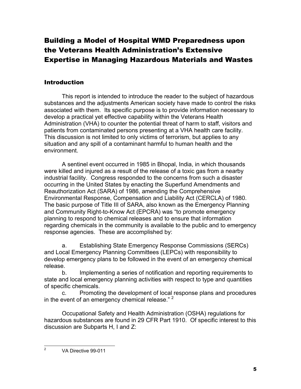# Building a Model of Hospital WMD Preparedness upon the Veterans Health Administration's Extensive Expertise in Managing Hazardous Materials and Wastes

### **Introduction**

This report is intended to introduce the reader to the subject of hazardous substances and the adjustments American society have made to control the risks associated with them. Its specific purpose is to provide information necessary to develop a practical yet effective capability within the Veterans Health Administration (VHA) to counter the potential threat of harm to staff, visitors and patients from contaminated persons presenting at a VHA health care facility. This discussion is not limited to only victims of terrorism, but applies to any situation and any spill of a contaminant harmful to human health and the environment.

A sentinel event occurred in 1985 in Bhopal, India, in which thousands were killed and injured as a result of the release of a toxic gas from a nearby industrial facility. Congress responded to the concerns from such a disaster occurring in the United States by enacting the Superfund Amendments and Reauthorization Act (SARA) of 1986, amending the Comprehensive Environmental Response, Compensation and Liability Act (CERCLA) of 1980. The basic purpose of Title III of SARA, also known as the Emergency Planning and Community Right-to-Know Act (EPCRA) was "to promote emergency planning to respond to chemical releases and to ensure that information regarding chemicals in the community is available to the public and to emergency response agencies. These are accomplished by:

a. Establishing State Emergency Response Commissions (SERCs) and Local Emergency Planning Committees (LEPCs) with responsibility to develop emergency plans to be followed in the event of an emergency chemical release.

b. Implementing a series of notification and reporting requirements to state and local emergency planning activities with respect to type and quantities of specific chemicals.

c. Promoting the development of local response plans and procedures in the event of an emergency chemical release."  $2^{\circ}$ 

Occupational Safety and Health Administration (OSHA) regulations for hazardous substances are found in 29 CFR Part 1910. Of specific interest to this discussion are Subparts H, I and Z:

 $\frac{1}{2}$ VA Directive 99-011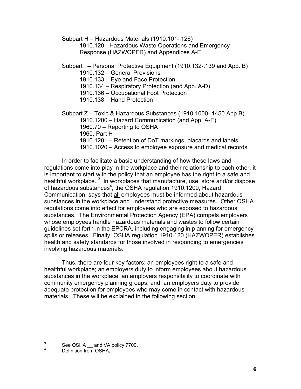Subpart H – Hazardous Materials (1910.101-.126)

1910.120 - Hazardous Waste Operations and Emergency Response (HAZWOPER) and Appendices A-E.

Subpart I – Personal Protective Equipment (1910.132-.139 and App. B) 1910.132 – General Provisions

1910.133 – Eye and Face Protection

1910.134 – Respiratory Protection (and App. A-D)

1910.136 – Occupational Foot Protection

1910.138 – Hand Protection

Subpart Z – Toxic & Hazardous Substances (1910.1000-.1450 App B) 1910.1200 – Hazard Communication (and App. A-E) 1960.70 – Reporting to OSHA 1960, Part H 1910.1201 – Retention of DoT markings, placards and labels 1910.1020 – Access to employee exposure and medical records

 In order to facilitate a basic understanding of how these laws and regulations come into play in the workplace and their relationship to each other, it is important to start with the policy that an employee has the right to a safe and healthful workplace.<sup>3</sup> In workplaces that manufacture, use, store and/or dispose of hazardous substances<sup>4</sup>, the OSHA regulation 1910.1200, Hazard Communication, says that all employees must be informed about hazardous substances in the workplace and understand protective measures. Other OSHA regulations come into effect for employees who are exposed to hazardous substances. The Environmental Protection Agency (EPA) compels employers whose employees handle hazardous materials and wastes to follow certain guidelines set forth in the EPCRA, including engaging in planning for emergency spills or releases. Finally, OSHA regulation 1910.120 (HAZWOPER) establishes health and safety standards for those involved in responding to emergencies involving hazardous materials.

 Thus, there are four key factors: an employees right to a safe and healthful workplace; an employers duty to inform employees about hazardous substances in the workplace; an employers responsibility to coordinate with community emergency planning groups; and, an employers duty to provide adequate protection for employees who may come in contact with hazardous materials. These will be explained in the following section.

<sup>-&</sup>lt;br>3 See OSHA \_\_ and VA policy 7700.

<sup>4</sup> Definition from OSHA,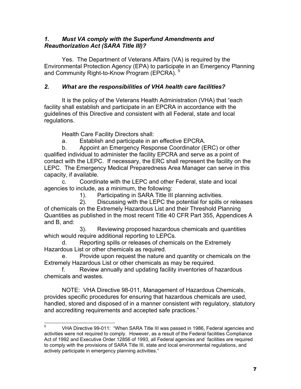#### *1. Must VA comply with the Superfund Amendments and Reauthorization Act (SARA Title III)?*

Yes. The Department of Veterans Affairs (VA) is required by the Environmental Protection Agency (EPA) to participate in an Emergency Planning and Community Right-to-Know Program (EPCRA). 5

## *2. What are the responsibilities of VHA health care facilities?*

It is the policy of the Veterans Health Administration (VHA) that "each facility shall establish and participate in an EPCRA in accordance with the guidelines of this Directive and consistent with all Federal, state and local regulations.

Health Care Facility Directors shall:

a. Establish and participate in an effective EPCRA.

 b. Appoint an Emergency Response Coordinator (ERC) or other qualified individual to administer the facility EPCRA and serve as a point of contact with the LEPC. If necessary, the ERC shall represent the facility on the LEPC. The Emergency Medical Preparedness Area Manager can serve in this capacity, if available.

 c. Coordinate with the LEPC and other Federal, state and local agencies to include, as a minimum, the following:

1). Participating in SARA Title III planning activities.

 2). Discussing with the LEPC the potential for spills or releases of chemicals on the Extremely Hazardous List and their Threshold Planning Quantities as published in the most recent Title 40 CFR Part 355, Appendices A and B, and:

 3). Reviewing proposed hazardous chemicals and quantities which would require additional reporting to LEPCs.

 d. Reporting spills or releases of chemicals on the Extremely Hazardous List or other chemicals as required.

 e. Provide upon request the nature and quantity or chemicals on the Extremely Hazardous List or other chemicals as may be required.

 f. Review annually and updating facility inventories of hazardous chemicals and wastes.

 NOTE: VHA Directive 98-011, Management of Hazardous Chemicals, provides specific procedures for ensuring that hazardous chemicals are used, handled, stored and disposed of in a manner consistent with regulatory, statutory and accrediting requirements and accepted safe practices."

<sup>—&</sup>lt;br>5 VHA Directive 99-011: "When SARA Title III was passed in 1986, Federal agencies and activities were not required to comply. However, as a result of the Federal facilities Compliance Act of 1992 and Executive Order 12856 of 1993, all Federal agencies and facilities are required to comply with the provisions of SARA Title III, state and local environmental regulations, and actively participate in emergency planning activities."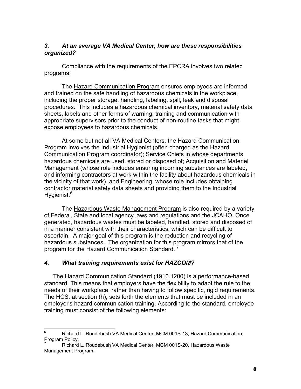#### *3. At an average VA Medical Center, how are these responsibilities organized?*

Compliance with the requirements of the EPCRA involves two related programs:

The Hazard Communication Program ensures employees are informed and trained on the safe handling of hazardous chemicals in the workplace, including the proper storage, handling, labeling, spill, leak and disposal procedures. This includes a hazardous chemical inventory, material safety data sheets, labels and other forms of warning, training and communication with appropriate supervisors prior to the conduct of non-routine tasks that might expose employees to hazardous chemicals.

At some but not all VA Medical Centers, the Hazard Communication Program involves the Industrial Hygienist (often charged as the Hazard Communication Program coordinator); Service Chiefs in whose departments hazardous chemicals are used, stored or disposed of; Acquisition and Materiel Management (whose role includes ensuring incoming substances are labeled, and informing contractors at work within the facility about hazardous chemicals in the vicinity of that work), and Engineering, whose role includes obtaining contractor material safety data sheets and providing them to the Industrial Hygienist.<sup>6</sup>

 The Hazardous Waste Management Program is also required by a variety of Federal, State and local agency laws and regulations and the JCAHO. Once generated, hazardous wastes must be labeled, handled, stored and disposed of in a manner consistent with their characteristics, which can be difficult to ascertain. A major goal of this program is the reduction and recycling of hazardous substances. The organization for this program mirrors that of the program for the Hazard Communication Standard.

#### *4. What training requirements exist for HAZCOM?*

The Hazard Communication Standard (1910.1200) is a performance-based standard. This means that employers have the flexibility to adapt the rule to the needs of their workplace, rather than having to follow specific, rigid requirements. The HCS, at section (h), sets forth the elements that must be included in an employer's hazard communication training. According to the standard, employee training must consist of the following elements:

 6 Richard L. Roudebush VA Medical Center, MCM 001S-13, Hazard Communication Program Policy.

<sup>7</sup> Richard L. Roudebush VA Medical Center, MCM 001S-20, Hazardous Waste Management Program.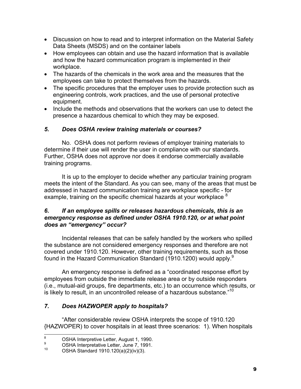- Discussion on how to read and to interpret information on the Material Safety Data Sheets (MSDS) and on the container labels
- How employees can obtain and use the hazard information that is available and how the hazard communication program is implemented in their workplace.
- The hazards of the chemicals in the work area and the measures that the employees can take to protect themselves from the hazards.
- The specific procedures that the employer uses to provide protection such as engineering controls, work practices, and the use of personal protective equipment.
- Include the methods and observations that the workers can use to detect the presence a hazardous chemical to which they may be exposed.

### *5. Does OSHA review training materials or courses?*

No. OSHA does not perform reviews of employer training materials to determine if their use will render the user in compliance with our standards. Further, OSHA does not approve nor does it endorse commercially available training programs.

It is up to the employer to decide whether any particular training program meets the intent of the Standard. As you can see, many of the areas that must be addressed in hazard communication training are workplace specific - for example, training on the specific chemical hazards at your workplace  $^8$ 

#### *6. If an employee spills or releases hazardous chemicals, this is an emergency response as defined under OSHA 1910.120, or at what point does an "emergency" occur?*

Incidental releases that can be safely handled by the workers who spilled the substance are not considered emergency responses and therefore are not covered under 1910.120. However, other training requirements, such as those found in the Hazard Communication Standard (1910.1200) would apply.<sup>9</sup>

An emergency response is defined as a "coordinated response effort by employees from outside the immediate release area or by outside responders (i.e., mutual-aid groups, fire departments, etc.) to an occurrence which results, or is likely to result, in an uncontrolled release of a hazardous substance. $10<sup>10</sup>$ 

# *7. Does HAZWOPER apply to hospitals?*

"After considerable review OSHA interprets the scope of 1910.120 {HAZWOPER) to cover hospitals in at least three scenarios: 1). When hospitals

 8 OSHA Interpretive Letter, August 1, 1990.

<sup>9</sup>  $^{9}$  OSHA Interpretative Letter, June 7, 1991.

<sup>10</sup> OSHA Standard 1910.120(a)(2)(iv)(3).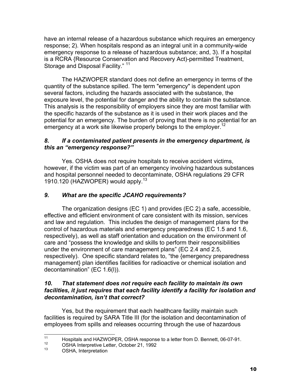have an internal release of a hazardous substance which requires an emergency response; 2). When hospitals respond as an integral unit in a community-wide emergency response to a release of hazardous substance; and, 3). If a hospital is a RCRA {Resource Conservation and Recovery Act)-permitted Treatment, Storage and Disposal Facility." 11

 The HAZWOPER standard does not define an emergency in terms of the quantity of the substance spilled. The term "emergency" is dependent upon several factors, including the hazards associated with the substance, the exposure level, the potential for danger and the ability to contain the substance. This analysis is the responsibility of employers since they are most familiar with the specific hazards of the substance as it is used in their work places and the potential for an emergency. The burden of proving that there is no potential for an emergency at a work site likewise properly belongs to the employer.<sup>12</sup>

#### *8. If a contaminated patient presents in the emergency department, is this an "emergency response?"*

 Yes. OSHA does not require hospitals to receive accident victims, however, if the victim was part of an emergency involving hazardous substances and hospital personnel needed to decontaminate, OSHA regulations 29 CFR 1910.120 (HAZWOPER) would apply.<sup>13</sup>

#### *9. What are the specific JCAHO requirements?*

The organization designs (EC 1) and provides (EC 2) a safe, accessible, effective and efficient environment of care consistent with its mission, services and law and regulation. This includes the design of management plans for the control of hazardous materials and emergency preparedness (EC 1.5 and 1.6, respectively), as well as staff orientation and education on the environment of care and "possess the knowledge and skills to perform their responsibilities under the environment of care management plans" (EC 2.4 and 2.5, respectively). One specific standard relates to, "the {emergency preparedness management} plan identifies facilities for radioactive or chemical isolation and decontamination" (EC 1.6(l)).

#### *10. That statement does not require each facility to maintain its own facilities, it just requires that each facility identify a facility for isolation and decontamination, isn't that correct?*

Yes, but the requirement that each healthcare facility maintain such facilities is required by SARA Title III (for the isolation and decontamination of employees from spills and releases occurring through the use of hazardous

 $11$ <sup>11</sup> Hospitals and HAZWOPER, OSHA response to a letter from D. Bennett, 06-07-91.

 $12^1$  OSHA Interpretive Letter, October 21, 1992<br> $13$  OSHA, Interpretation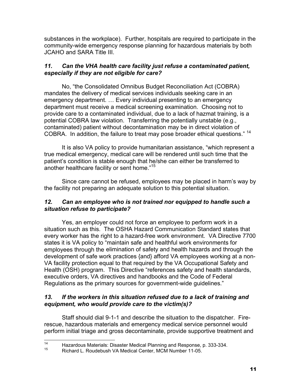substances in the workplace). Further, hospitals are required to participate in the community-wide emergency response planning for hazardous materials by both JCAHO and SARA Title III.

### *11. Can the VHA health care facility just refuse a contaminated patient, especially if they are not eligible for care?*

No, "the Consolidated Omnibus Budget Reconciliation Act (COBRA) mandates the delivery of medical services individuals seeking care in an emergency department. … Every individual presenting to an emergency department must receive a medical screening examination. Choosing not to provide care to a contaminated individual, due to a lack of hazmat training, is a potential COBRA law violation. Transferring the potentially unstable (e.g., contaminated) patient without decontamination may be in direct violation of COBRA. In addition, the failure to treat may pose broader ethical questions." 14

It is also VA policy to provide humanitarian assistance, "which represent a true medical emergency, medical care will be rendered until such time that the patient's condition is stable enough that he/she can either be transferred to another healthcare facility or sent home."15

Since care cannot be refused, employees may be placed in harm's way by the facility not preparing an adequate solution to this potential situation.

#### *12. Can an employee who is not trained nor equipped to handle such a situation refuse to participate?*

Yes, an employer could not force an employee to perform work in a situation such as this. The OSHA Hazard Communication Standard states that every worker has the right to a hazard-free work environment. VA Directive 7700 states it is VA policy to "maintain safe and healthful work environments for employees through the elimination of safety and health hazards and through the development of safe work practices {and} afford VA employees working at a non-VA facility protection equal to that required by the VA Occupational Safety and Health (OSH) program. This Directive "references safety and health standards, executive orders, VA directives and handbooks and the Code of Federal Regulations as the primary sources for government-wide guidelines."

#### *13. If the workers in this situation refused due to a lack of training and equipment, who would provide care to the victim(s)?*

 Staff should dial 9-1-1 and describe the situation to the dispatcher. Firerescue, hazardous materials and emergency medical service personnel would perform initial triage and gross decontaminate, provide supportive treatment and

 $\overline{14}$ <sup>14</sup> Hazardous Materials: Disaster Medical Planning and Response, p. 333-334.<br><sup>15</sup> Richard L. Roudebush VA Medical Center, MCM Number 11-05.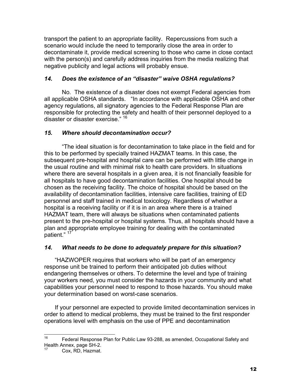transport the patient to an appropriate facility. Repercussions from such a scenario would include the need to temporarily close the area in order to decontaminate it, provide medical screening to those who came in close contact with the person(s) and carefully address inquiries from the media realizing that negative publicity and legal actions will probably ensue.

### *14. Does the existence of an "disaster" waive OSHA regulations?*

No. The existence of a disaster does not exempt Federal agencies from all applicable OSHA standards. "In accordance with applicable OSHA and other agency regulations, all signatory agencies to the Federal Response Plan are responsible for protecting the safety and health of their personnel deployed to a disaster or disaster exercise." <sup>16</sup>

# *15. Where should decontamination occur?*

"The ideal situation is for decontamination to take place in the field and for this to be performed by specially trained HAZMAT teams. In this case, the subsequent pre-hospital and hospital care can be performed with little change in the usual routine and with minimal risk to health care providers. In situations where there are several hospitals in a given area, it is not financially feasible for all hospitals to have good decontamination facilities. One hospital should be chosen as the receiving facility. The choice of hospital should be based on the availability of decontamination facilities, intensive care facilities, training of ED personnel and staff trained in medical toxicology. Regardless of whether a hospital is a receiving facility or if it is in an area where there is a trained HAZMAT team, there will always be situations when contaminated patients present to the pre-hospital or hospital systems. Thus, all hospitals should have a plan and appropriate employee training for dealing with the contaminated patient." <sup>17</sup>

# *14. What needs to be done to adequately prepare for this situation?*

"HAZWOPER requires that workers who will be part of an emergency response unit be trained to perform their anticipated job duties without endangering themselves or others. To determine the level and type of training your workers need, you must consider the hazards in your community and what capabilities your personnel need to respond to those hazards. You should make your determination based on worst-case scenarios.

If your personnel are expected to provide limited decontamination services in order to attend to medical problems, they must be trained to the first responder operations level with emphasis on the use of PPE and decontamination

<sup>16</sup> Federal Response Plan for Public Law 93-288, as amended, Occupational Safety and Health Annex, page SH-2.

Cox, RD, Hazmat.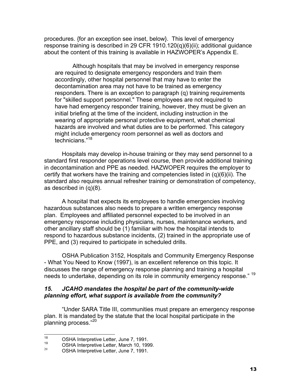procedures. {for an exception see inset, below}. This level of emergency response training is described in 29 CFR 1910.120(q)(6)(ii); additional guidance about the content of this training is available in HAZWOPER's Appendix E.

Although hospitals that may be involved in emergency response are required to designate emergency responders and train them accordingly, other hospital personnel that may have to enter the decontamination area may not have to be trained as emergency responders. There is an exception to paragraph (q) training requirements for "skilled support personnel." These employees are not required to have had emergency responder training, however, they must be given an initial briefing at the time of the incident, including instruction in the wearing of appropriate personal protective equipment, what chemical hazards are involved and what duties are to be performed. This category might include emergency room personnel as well as doctors and technicians."<sup>18</sup>

Hospitals may develop in-house training or they may send personnel to a standard first responder operations level course, then provide additional training in decontamination and PPE as needed. HAZWOPER requires the employer to certify that workers have the training and competencies listed in (q)(6)(ii). The standard also requires annual refresher training or demonstration of competency, as described in (q)(8).

A hospital that expects its employees to handle emergencies involving hazardous substances also needs to prepare a written emergency response plan. Employees and affiliated personnel expected to be involved in an emergency response including physicians, nurses, maintenance workers, and other ancillary staff should be (1) familiar with how the hospital intends to respond to hazardous substance incidents, (2) trained in the appropriate use of PPE, and (3) required to participate in scheduled drills.

OSHA Publication 3152, Hospitals and Community Emergency Response - What You Need to Know (1997), is an excellent reference on this topic. It discusses the range of emergency response planning and training a hospital needs to undertake, depending on its role in community emergency response." 19

#### *15. JCAHO mandates the hospital be part of the community-wide planning effort, what support is available from the community?*

"Under SARA Title III, communities must prepare an emergency response plan. It is mandated by the statute that the local hospital participate in the planning process."<sup>20</sup>

 $18$ 

<sup>&</sup>lt;sup>18</sup> OSHA Interpretive Letter, June 7, 1991.<br><sup>19</sup> OSHA Interpretive Letter, March 10, 1999.<br><sup>20</sup> OSHA Interpretive Letter, June 7, 1991.

<sup>20</sup> OSHA Interpretive Letter, June 7, 1991.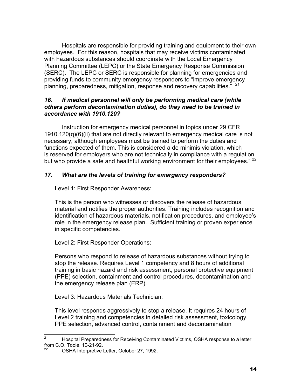Hospitals are responsible for providing training and equipment to their own employees. For this reason, hospitals that may receive victims contaminated with hazardous substances should coordinate with the Local Emergency Planning Committee (LEPC) or the State Emergency Response Commission (SERC). The LEPC or SERC is responsible for planning for emergencies and providing funds to community emergency responders to "improve emergency planning, preparedness, mitigation, response and recovery capabilities." <sup>21</sup>

#### *16. If medical personnel will only be performing medical care (while others perform decontamination duties), do they need to be trained in accordance with 1910.120?*

Instruction for emergency medical personnel in topics under 29 CFR  $1910.120(q)(6)$ (ii) that are not directly relevant to emergency medical care is not necessary, although employees must be trained to perform the duties and functions expected of them. This is considered a de minimis violation, which is reserved for employers who are not technically in compliance with a regulation but who provide a safe and healthful working environment for their employees." <sup>22</sup>

# *17. What are the levels of training for emergency responders?*

Level 1: First Responder Awareness:

This is the person who witnesses or discovers the release of hazardous material and notifies the proper authorities. Training includes recognition and identification of hazardous materials, notification procedures, and employee's role in the emergency release plan. Sufficient training or proven experience in specific competencies.

Level 2: First Responder Operations:

Persons who respond to release of hazardous substances without trying to stop the release. Requires Level 1 competency and 8 hours of additional training in basic hazard and risk assessment, personal protective equipment (PPE) selection, containment and control procedures, decontamination and the emergency release plan (ERP).

Level 3: Hazardous Materials Technician:

This level responds aggressively to stop a release. It requires 24 hours of Level 2 training and competencies in detailed risk assessment, toxicology, PPE selection, advanced control, containment and decontamination

 $21$ 21 Hospital Preparedness for Receiving Contaminated Victims, OSHA response to a letter from C.O. Toole, 10-21-92.

OSHA Interpretive Letter, October 27, 1992.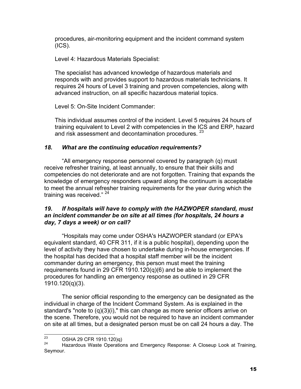procedures, air-monitoring equipment and the incident command system  $(ICS)$ .

Level 4: Hazardous Materials Specialist:

The specialist has advanced knowledge of hazardous materials and responds with and provides support to hazardous materials technicians. It requires 24 hours of Level 3 training and proven competencies, along with advanced instruction, on all specific hazardous material topics.

Level 5: On-Site Incident Commander:

This individual assumes control of the incident. Level 5 requires 24 hours of training equivalent to Level 2 with competencies in the ICS and ERP, hazard and risk assessment and decontamination procedures.  $23$ 

#### *18. What are the continuing education requirements?*

"All emergency response personnel covered by paragraph (q) must receive refresher training, at least annually, to ensure that their skills and competencies do not deteriorate and are not forgotten. Training that expands the knowledge of emergency responders upward along the continuum is acceptable to meet the annual refresher training requirements for the year during which the training was received." <sup>24</sup>

#### *19. If hospitals will have to comply with the HAZWOPER standard, must an incident commander be on site at all times (for hospitals, 24 hours a day, 7 days a week) or on call?*

"Hospitals may come under OSHA's HAZWOPER standard (or EPA's equivalent standard, 40 CFR 311, if it is a public hospital), depending upon the level of activity they have chosen to undertake during in-house emergencies. If the hospital has decided that a hospital staff member will be the incident commander during an emergency, this person must meet the training requirements found in 29 CFR 1910.120(q)(6) and be able to implement the procedures for handling an emergency response as outlined in 29 CFR 1910.120(q)(3).

The senior official responding to the emergency can be designated as the individual in charge of the Incident Command System. As is explained in the standard's "note to (q)(3)(i)," this can change as more senior officers arrive on the scene. Therefore, you would not be required to have an incident commander on site at all times, but a designated person must be on call 24 hours a day. The

<sup>23</sup> 

<sup>&</sup>lt;sup>23</sup> OSHA 29 CFR 1910.120)q)<br><sup>24</sup> Hazardous Waste Operations and Emergency Response: A Closeup Look at Training, Seymour.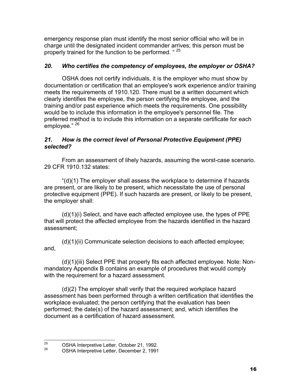emergency response plan must identify the most senior official who will be in charge until the designated incident commander arrives; this person must be properly trained for the function to be performed. " 25

### *20. Who certifies the competency of employees, the employer or OSHA?*

OSHA does not certify individuals, it is the employer who must show by documentation or certification that an employee's work experience and/or training meets the requirements of 1910.120. There must be a written document which clearly identifies the employee, the person certifying the employee, and the training and/or past experience which meets the requirements. One possibility would be to include this information in the employee's personnel file. The preferred method is to include this information on a separate certificate for each employee." <sup>26</sup>

### *21. How is the correct level of Personal Protective Equipment (PPE) selected?*

From an assessment of lihely hazards, assuming the worst-case scenario. 29 CFR 1910.132 states:

"(d)(1) The employer shall assess the workplace to determine if hazards are present, or are likely to be present, which necessitate the use of personal protective equipment (PPE). If such hazards are present, or likely to be present, the employer shall:

(d)(1)(i) Select, and have each affected employee use, the types of PPE that will protect the affected employee from the hazards identified in the hazard assessment;

(d)(1)(ii) Communicate selection decisions to each affected employee; and,

(d)(1)(iii) Select PPE that properly fits each affected employee. Note: Nonmandatory Appendix B contains an example of procedures that would comply with the requirement for a hazard assessment.

(d)(2) The employer shall verify that the required workplace hazard assessment has been performed through a written certification that identifies the workplace evaluated; the person certifying that the evaluation has been performed; the date(s) of the hazard assessment; and, which identifies the document as a certification of hazard assessment.

 $25$ <sup>25</sup> OSHA Interpretive Letter, October 21, 1992.<br><sup>26</sup> OSHA Interpretive Letter, December 2, 1991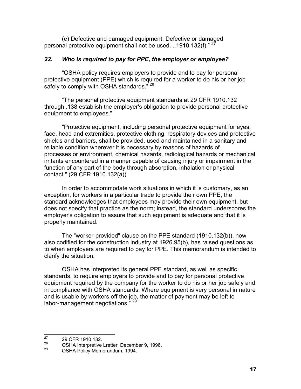(e) Defective and damaged equipment. Defective or damaged personal protective equipment shall not be used.  $.1910.132(f).$ "  $^{27}$ 

#### *22. Who is required to pay for PPE, the employer or employee?*

"OSHA policy requires employers to provide and to pay for personal protective equipment (PPE) which is required for a worker to do his or her job safely to comply with OSHA standards."<sup>28</sup>

"The personal protective equipment standards at 29 CFR 1910.132 through .138 establish the employer's obligation to provide personal protective equipment to employees."

"Protective equipment, including personal protective equipment for eyes, face, head and extremities, protective clothing, respiratory devices and protective shields and barriers, shall be provided, used and maintained in a sanitary and reliable condition wherever it is necessary by reasons of hazards of processes or environment, chemical hazards, radiological hazards or mechanical irritants encountered in a manner capable of causing injury or impairment in the function of any part of the body through absorption, inhalation or physical contact." (29 CFR 1910.132(a))

In order to accommodate work situations in which it is customary, as an exception, for workers in a particular trade to provide their own PPE, the standard acknowledges that employees may provide their own equipment, but does not specify that practice as the norm; instead, the standard underscores the employer's obligation to assure that such equipment is adequate and that it is properly maintained.

The "worker-provided" clause on the PPE standard (1910.132(b)), now also codified for the construction industry at 1926.95(b), has raised questions as to when employers are required to pay for PPE. This memorandum is intended to clarify the situation.

OSHA has interpreted its general PPE standard, as well as specific standards, to require employers to provide and to pay for personal protective equipment required by the company for the worker to do his or her job safely and in compliance with OSHA standards. Where equipment is very personal in nature and is usable by workers off the job, the matter of payment may be left to labor-management negotiations."<sup>29</sup>

<sup>27</sup>  $^{27}$  29 CFR 1910.132.

<sup>&</sup>lt;sup>28</sup> OSHA Interpretive Lretter, December 9, 1996.<br><sup>29</sup> OSHA Policy Memorandum, 1994.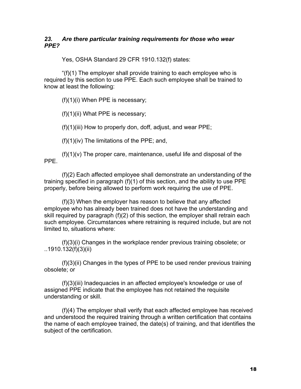#### *23. Are there particular training requirements for those who wear PPE?*

Yes, OSHA Standard 29 CFR 1910.132(f) states:

"(f)(1) The employer shall provide training to each employee who is required by this section to use PPE. Each such employee shall be trained to know at least the following:

(f)(1)(i) When PPE is necessary;

(f)(1)(ii) What PPE is necessary;

(f)(1)(iii) How to properly don, doff, adjust, and wear PPE;

(f)(1)(iv) The limitations of the PPE; and,

 $(f)(1)(v)$  The proper care, maintenance, useful life and disposal of the PPE.

(f)(2) Each affected employee shall demonstrate an understanding of the training specified in paragraph (f)(1) of this section, and the ability to use PPE properly, before being allowed to perform work requiring the use of PPE.

(f)(3) When the employer has reason to believe that any affected employee who has already been trained does not have the understanding and skill required by paragraph (f)(2) of this section, the employer shall retrain each such employee. Circumstances where retraining is required include, but are not limited to, situations where:

(f)(3)(i) Changes in the workplace render previous training obsolete; or ..1910.132(f)(3)(ii)

(f)(3)(ii) Changes in the types of PPE to be used render previous training obsolete; or

(f)(3)(iii) Inadequacies in an affected employee's knowledge or use of assigned PPE indicate that the employee has not retained the requisite understanding or skill.

(f)(4) The employer shall verify that each affected employee has received and understood the required training through a written certification that contains the name of each employee trained, the date(s) of training, and that identifies the subject of the certification.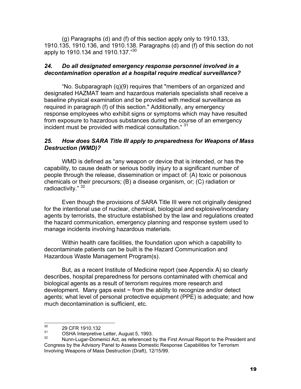(g) Paragraphs (d) and (f) of this section apply only to 1910.133, 1910.135, 1910.136, and 1910.138. Paragraphs (d) and (f) of this section do not apply to 1910.134 and 1910.137."<sup>30</sup>

#### *24. Do all designated emergency response personnel involved in a decontamination operation at a hospital require medical surveillance?*

"No. Subparagraph (q)(9) requires that "members of an organized and designated HAZMAT team and hazardous materials specialists shall receive a baseline physical examination and be provided with medical surveillance as required in paragraph (f) of this section." Additionally, any emergency response employees who exhibit signs or symptoms which may have resulted from exposure to hazardous substances during the course of an emergency incident must be provided with medical consultation.<sup>"31</sup>

#### *25. How does SARA Title III apply to preparedness for Weapons of Mass Destruction (WMD)?*

 WMD is defined as "any weapon or device that is intended, or has the capability, to cause death or serious bodily injury to a significant number of people through the release, dissemination or impact of: (A) toxic or poisonous chemicals or their precursors; (B) a disease organism, or; (C) radiation or radioactivity." 32

Even though the provisions of SARA Title III were not originally designed for the intentional use of nuclear, chemical, biological and explosive/incendiary agents by terrorists, the structure established by the law and regulations created the hazard communication, emergency planning and response system used to manage incidents involving hazardous materials.

Within health care facilities, the foundation upon which a capability to decontaminate patients can be built is the Hazard Communication and Hazardous Waste Management Program(s).

But, as a recent Institute of Medicine report (see Appendix A) so clearly describes, hospital preparedness for persons contaminated with chemical and biological agents as a result of terrorism requires more research and development. Many gaps exist  $\sim$  from the ability to recognize and/or detect agents; what level of personal protective equipment (PPE) is adequate; and how much decontamination is sufficient, etc.

 $30<sup>°</sup>$ 

 $\frac{30}{31}$  29 CFR 1910.132<br> $\frac{31}{31}$  OSHA Interpretive Letter, August 5, 1993.

<sup>&</sup>lt;sup>32</sup> Nunn-Lugar-Domenici Act, as referenced by the First Annual Report to the President and Congress by the Advisory Panel to Assess Domestic Response Capabilities for Terrorism Involving Weapons of Mass Destruction (Draft), 12/15/99.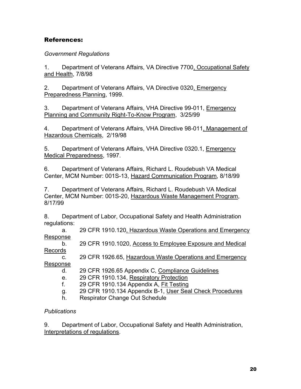# References:

#### *Government Regulations*

1. Department of Veterans Affairs, VA Directive 7700, Occupational Safety and Health, 7/8/98

2. Department of Veterans Affairs, VA Directive 0320, Emergency Preparedness Planning, 1999.

3. Department of Veterans Affairs, VHA Directive 99-011, Emergency Planning and Community Right-To-Know Program, 3/25/99

4. Department of Veterans Affairs, VHA Directive 98-011, Management of Hazardous Chemicals, 2/19/98

5. Department of Veterans Affairs, VHA Directive 0320.1, Emergency Medical Preparedness, 1997.

6. Department of Veterans Affairs, Richard L. Roudebush VA Medical Center, MCM Number: 001S-13, Hazard Communication Program, 8/18/99

7. Department of Veterans Affairs, Richard L. Roudebush VA Medical Center, MCM Number: 001S-20, Hazardous Waste Management Program, 8/17/99

8. Department of Labor, Occupational Safety and Health Administration regulations:

a. 29 CFR 1910.120, Hazardous Waste Operations and Emergency Response

b. 29 CFR 1910.1020, Access to Employee Exposure and Medical

Records

c. 29 CFR 1926.65, Hazardous Waste Operations and Emergency

Response

- d. 29 CFR 1926.65 Appendix C, Compliance Guidelines
- e. 29 CFR 1910.134, Respiratory Protection
- f. 29 CFR 1910.134 Appendix A, Fit Testing
- g. 29 CFR 1910.134 Appendix B-1, User Seal Check Procedures
- h. Respirator Change Out Schedule

*Publications* 

9. Department of Labor, Occupational Safety and Health Administration, Interpretations of regulations.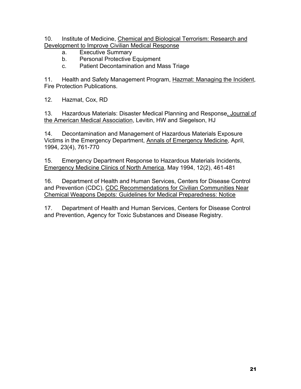10. Institute of Medicine, Chemical and Biological Terrorism: Research and Development to Improve Civilian Medical Response

- a. Executive Summary
- b. Personal Protective Equipment
- c. Patient Decontamination and Mass Triage

11. Health and Safety Management Program, Hazmat: Managing the Incident, Fire Protection Publications.

12. Hazmat, Cox, RD

13. Hazardous Materials: Disaster Medical Planning and Response, Journal of the American Medical Association, Levitin, HW and Siegelson, HJ

14. Decontamination and Management of Hazardous Materials Exposure Victims in the Emergency Department, Annals of Emergency Medicine, April, 1994, 23(4), 761-770

15. Emergency Department Response to Hazardous Materials Incidents, Emergency Medicine Clinics of North America, May 1994, 12(2), 461-481

16. Department of Health and Human Services, Centers for Disease Control and Prevention (CDC), CDC Recommendations for Civilian Communities Near Chemical Weapons Depots: Guidelines for Medical Preparedness: Notice

17. Department of Health and Human Services, Centers for Disease Control and Prevention, Agency for Toxic Substances and Disease Registry.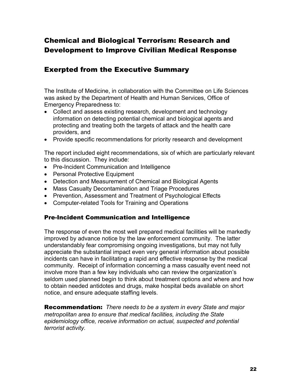# Chemical and Biological Terrorism: Research and Development to Improve Civilian Medical Response

# Exerpted from the Executive Summary

The Institute of Medicine, in collaboration with the Committee on Life Sciences was asked by the Department of Health and Human Services, Office of Emergency Preparedness to:

- Collect and assess existing research, development and technology information on detecting potential chemical and biological agents and protecting and treating both the targets of attack and the health care providers, and
- Provide specific recommendations for priority research and development

The report included eight recommendations, six of which are particularly relevant to this discussion. They include:

- Pre-Incident Communication and Intelligence
- Personal Protective Equipment
- Detection and Measurement of Chemical and Biological Agents
- Mass Casualty Decontamination and Triage Procedures
- Prevention, Assessment and Treatment of Psychological Effects
- Computer-related Tools for Training and Operations

#### Pre-Incident Communication and Intelligence

The response of even the most well prepared medical facilities will be markedly improved by advance notice by the law enforcement community. The latter understandably fear compromising ongoing investigations, but may not fully appreciate the substantial impact even very general information about possible incidents can have in facilitating a rapid and effective response by the medical community. Receipt of information concerning a mass casualty event need not involve more than a few key individuals who can review the organization's seldom used planned begin to think about treatment options and where and how to obtain needed antidotes and drugs, make hospital beds available on short notice, and ensure adequate staffing levels.

Recommendation: *There needs to be a system in every State and major metropolitan area to ensure that medical facilities, including the State epidemiology office, receive information on actual, suspected and potential terrorist activity.*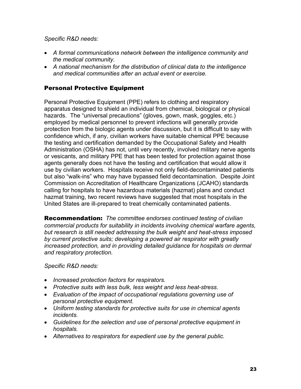*Specific R&D needs:* 

- *A formal communications network between the intelligence community and the medical community.*
- *A national mechanism for the distribution of clinical data to the intelligence and medical communities after an actual event or exercise.*

# Personal Protective Equipment

Personal Protective Equipment (PPE) refers to clothing and respiratory apparatus designed to shield an individual from chemical, biological or physical hazards. The "universal precautions" (gloves, gown, mask, goggles, etc.) employed by medical personnel to prevent infections will generally provide protection from the biologic agents under discussion, but it is difficult to say with confidence which, if any, civilian workers have suitable chemical PPE because the testing and certification demanded by the Occupational Safety and Health Administration (OSHA) has not, until very recently, involved military nerve agents or vesicants, and military PPE that has been tested for protection against those agents generally does not have the testing and certification that would allow it use by civilian workers. Hospitals receive not only field-decontaminated patients but also "walk-ins" who may have bypassed field decontamination. Despite Joint Commission on Accreditation of Healthcare Organizations (JCAHO) standards calling for hospitals to have hazardous materials (hazmat) plans and conduct hazmat training, two recent reviews have suggested that most hospitals in the United States are ill-prepared to treat chemically contaminated patients.

Recommendation: *The committee endorses continued testing of civilian commercial products for suitability in incidents involving chemical warfare agents, but research is still needed addressing the bulk weight and heat-stress imposed by current protective suits; developing a powered air respirator with greatly increased protection, and in providing detailed guidance for hospitals on dermal and respiratory protection.* 

- *Increased protection factors for respirators.*
- *Protective suits with less bulk, less weight and less heat-stress.*
- *Evaluation of the impact of occupational regulations governing use of personal protective equipment.*
- *Uniform testing standards for protective suits for use in chemical agents incidents.*
- *Guidelines for the selection and use of personal protective equipment in hospitals.*
- *Alternatives to respirators for expedient use by the general public.*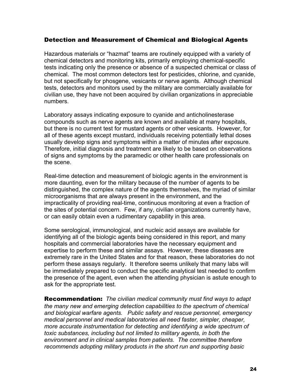#### Detection and Measurement of Chemical and Biological Agents

Hazardous materials or "hazmat" teams are routinely equipped with a variety of chemical detectors and monitoring kits, primarily employing chemical-specific tests indicating only the presence or absence of a suspected chemical or class of chemical. The most common detectors test for pesticides, chlorine, and cyanide, but not specifically for phosgene, vesicants or nerve agents. Although chemical tests, detectors and monitors used by the military are commercially available for civilian use, they have not been acquired by civilian organizations in appreciable numbers.

Laboratory assays indicating exposure to cyanide and anticholinesterase compounds such as nerve agents are known and available at many hospitals, but there is no current test for mustard agents or other vesicants. However, for all of these agents except mustard, individuals receiving potentially lethal doses usually develop signs and symptoms within a matter of minutes after exposure. Therefore, initial diagnosis and treatment are likely to be based on observations of signs and symptoms by the paramedic or other health care professionals on the scene.

Real-time detection and measurement of biologic agents in the environment is more daunting, even for the military because of the number of agents to be distinguished, the complex nature of the agents themselves, the myriad of similar microorganisms that are always present in the environment, and the impracticality of providing real-time, continuous monitoring at even a fraction of the sites of potential concern. Few, if any, civilian organizations currently have, or can easily obtain even a rudimentary capability in this area.

Some serological, immunological, and nucleic acid assays are available for identifying all of the biologic agents being considered in this report, and many hospitals and commercial laboratories have the necessary equipment and expertise to perform these and similar assays. However, these diseases are extremely rare in the United States and for that reason, these laboratories do not perform these assays regularly. It therefore seems unlikely that many labs will be immediately prepared to conduct the specific analytical test needed to confirm the presence of the agent, even when the attending physician is astute enough to ask for the appropriate test.

Recommendation: *The civilian medical community must find ways to adapt the many new and emerging detection capabilities to the spectrum of chemical and biological warfare agents. Public safety and rescue personnel, emergency medical personnel and medical laboratories all need faster, simpler, cheaper, more accurate instrumentation for detecting and identifying a wide spectrum of toxic substances, including but not limited to military agents, in both the environment and in clinical samples from patients. The committee therefore recommends adopting military products in the short run and supporting basic*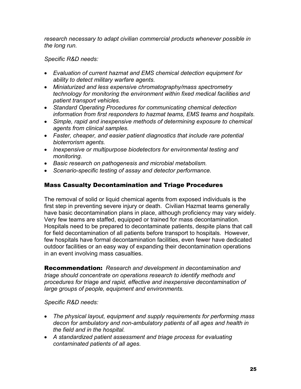*research necessary to adapt civilian commercial products whenever possible in the long run.* 

*Specific R&D needs:* 

- *Evaluation of current hazmat and EMS chemical detection equipment for ability to detect military warfare agents.*
- *Miniaturized and less expensive chromatography/mass spectrometry technology for monitoring the environment within fixed medical facilities and patient transport vehicles.*
- *Standard Operating Procedures for communicating chemical detection information from first responders to hazmat teams, EMS teams and hospitals.*
- *Simple, rapid and inexpensive methods of determining exposure to chemical agents from clinical samples.*
- *Faster, cheaper, and easier patient diagnostics that include rare potential bioterrorism agents.*
- *Inexpensive or multipurpose biodetectors for environmental testing and monitoring.*
- *Basic research on pathogenesis and microbial metabolism.*
- *Scenario-specific testing of assay and detector performance.*

### Mass Casualty Decontamination and Triage Procedures

The removal of solid or liquid chemical agents from exposed individuals is the first step in preventing severe injury or death. Civilian Hazmat teams generally have basic decontamination plans in place, although proficiency may vary widely. Very few teams are staffed, equipped or trained for mass decontamination. Hospitals need to be prepared to decontaminate patients, despite plans that call for field decontamination of all patients before transport to hospitals. However, few hospitals have formal decontamination facilities, even fewer have dedicated outdoor facilities or an easy way of expanding their decontamination operations in an event involving mass casualties.

Recommendation: *Research and development in decontamination and triage should concentrate on operations research to identify methods and procedures for triage and rapid, effective and inexpensive decontamination of large groups of people, equipment and environments.* 

- *The physical layout, equipment and supply requirements for performing mass decon for ambulatory and non-ambulatory patients of all ages and health in the field and in the hospital.*
- *A standardized patient assessment and triage process for evaluating contaminated patients of all ages.*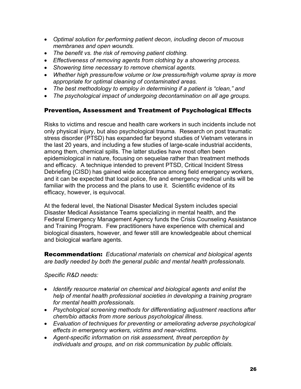- *Optimal solution for performing patient decon, including decon of mucous membranes and open wounds.*
- *The benefit vs. the risk of removing patient clothing.*
- *Effectiveness of removing agents from clothing by a showering process.*
- *Showering time necessary to remove chemical agents.*
- *Whether high pressure/low volume or low pressure/high volume spray is more appropriate for optimal cleaning of contaminated areas.*
- *The best methodology to employ in determining if a patient is "clean," and*
- *The psychological impact of undergoing decontamination on all age groups.*

### Prevention, Assessment and Treatment of Psychological Effects

Risks to victims and rescue and health care workers in such incidents include not only physical injury, but also psychological trauma. Research on post traumatic stress disorder (PTSD) has expanded far beyond studies of Vietnam veterans in the last 20 years, and including a few studies of large-scale industrial accidents, among them, chemical spills. The latter studies have most often been epidemiological in nature, focusing on sequelae rather than treatment methods and efficacy. A technique intended to prevent PTSD, Critical Incident Stress Debriefing (CISD) has gained wide acceptance among field emergency workers, and it can be expected that local police, fire and emergency medical units will be familiar with the process and the plans to use it. Scientific evidence of its efficacy, however, is equivocal.

At the federal level, the National Disaster Medical System includes special Disaster Medical Assistance Teams specializing in mental health, and the Federal Emergency Management Agency funds the Crisis Counseling Assistance and Training Program. Few practitioners have experience with chemical and biological disasters, however, and fewer still are knowledgeable about chemical and biological warfare agents.

Recommendation: *Educational materials on chemical and biological agents are badly needed by both the general public and mental health professionals.* 

- *Identify resource material on chemical and biological agents and enlist the help of mental health professional societies in developing a training program for mental health professionals.*
- *Psychological screening methods for differentiating adjustment reactions after chem/bio attacks from more serious psychological illness.*
- *Evaluation of techniques for preventing or ameliorating adverse psychological effects in emergency workers, victims and near-victims.*
- *Agent-specific information on risk assessment, threat perception by individuals and groups, and on risk communication by public officials.*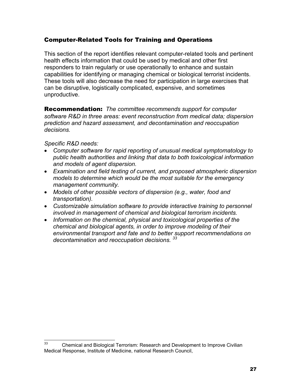### Computer-Related Tools for Training and Operations

This section of the report identifies relevant computer-related tools and pertinent health effects information that could be used by medical and other first responders to train regularly or use operationally to enhance and sustain capabilities for identifying or managing chemical or biological terrorist incidents. These tools will also decrease the need for participation in large exercises that can be disruptive, logistically complicated, expensive, and sometimes unproductive.

Recommendation: *The committee recommends support for computer software R&D in three areas: event reconstruction from medical data; dispersion prediction and hazard assessment, and decontamination and reoccupation decisions.* 

- *Computer software for rapid reporting of unusual medical symptomatology to public health authorities and linking that data to both toxicological information and models of agent dispersion.*
- *Examination and field testing of current, and proposed atmospheric dispersion models to determine which would be the most suitable for the emergency management community.*
- *Models of other possible vectors of dispersion (e.g., water, food and transportation).*
- *Customizable simulation software to provide interactive training to personnel involved in management of chemical and biological terrorism incidents.*
- *Information on the chemical, physical and toxicological properties of the chemical and biological agents, in order to improve modeling of their environmental transport and fate and to better support recommendations on decontamination and reoccupation decisions. <sup>33</sup>*

 $33<sup>2</sup>$ Chemical and Biological Terrorism: Research and Development to Improve Civilian Medical Response, Institute of Medicine, national Research Council,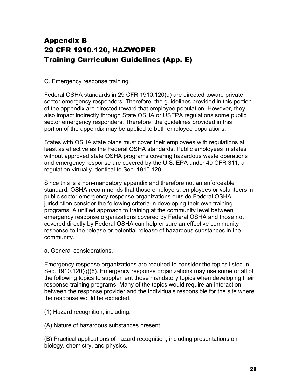# Appendix B 29 CFR 1910.120, HAZWOPER Training Curriculum Guidelines (App. E)

C. Emergency response training.

Federal OSHA standards in 29 CFR 1910.120(q) are directed toward private sector emergency responders. Therefore, the guidelines provided in this portion of the appendix are directed toward that employee population. However, they also impact indirectly through State OSHA or USEPA regulations some public sector emergency responders. Therefore, the guidelines provided in this portion of the appendix may be applied to both employee populations.

States with OSHA state plans must cover their employees with regulations at least as effective as the Federal OSHA standards. Public employees in states without approved state OSHA programs covering hazardous waste operations and emergency response are covered by the U.S. EPA under 40 CFR 311, a regulation virtually identical to Sec. 1910.120.

Since this is a non-mandatory appendix and therefore not an enforceable standard, OSHA recommends that those employers, employees or volunteers in public sector emergency response organizations outside Federal OSHA jurisdiction consider the following criteria in developing their own training programs. A unified approach to training at the community level between emergency response organizations covered by Federal OSHA and those not covered directly by Federal OSHA can help ensure an effective community response to the release or potential release of hazardous substances in the community.

a. General considerations.

Emergency response organizations are required to consider the topics listed in Sec. 1910.120(q)(6). Emergency response organizations may use some or all of the following topics to supplement those mandatory topics when developing their response training programs. Many of the topics would require an interaction between the response provider and the individuals responsible for the site where the response would be expected.

(1) Hazard recognition, including:

(A) Nature of hazardous substances present,

(B) Practical applications of hazard recognition, including presentations on biology, chemistry, and physics.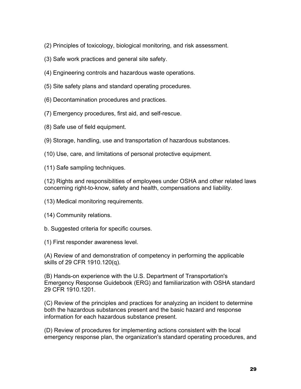- (2) Principles of toxicology, biological monitoring, and risk assessment.
- (3) Safe work practices and general site safety.
- (4) Engineering controls and hazardous waste operations.
- (5) Site safety plans and standard operating procedures.
- (6) Decontamination procedures and practices.
- (7) Emergency procedures, first aid, and self-rescue.
- (8) Safe use of field equipment.
- (9) Storage, handling, use and transportation of hazardous substances.
- (10) Use, care, and limitations of personal protective equipment.
- (11) Safe sampling techniques.

(12) Rights and responsibilities of employees under OSHA and other related laws concerning right-to-know, safety and health, compensations and liability.

- (13) Medical monitoring requirements.
- (14) Community relations.
- b. Suggested criteria for specific courses.
- (1) First responder awareness level.

(A) Review of and demonstration of competency in performing the applicable skills of 29 CFR 1910.120(q).

(B) Hands-on experience with the U.S. Department of Transportation's Emergency Response Guidebook (ERG) and familiarization with OSHA standard 29 CFR 1910.1201.

(C) Review of the principles and practices for analyzing an incident to determine both the hazardous substances present and the basic hazard and response information for each hazardous substance present.

(D) Review of procedures for implementing actions consistent with the local emergency response plan, the organization's standard operating procedures, and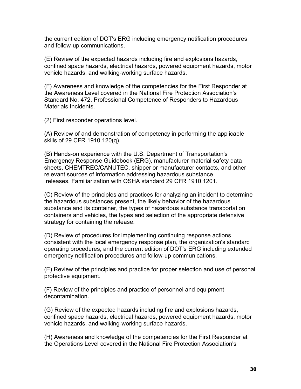the current edition of DOT's ERG including emergency notification procedures and follow-up communications.

(E) Review of the expected hazards including fire and explosions hazards, confined space hazards, electrical hazards, powered equipment hazards, motor vehicle hazards, and walking-working surface hazards.

(F) Awareness and knowledge of the competencies for the First Responder at the Awareness Level covered in the National Fire Protection Association's Standard No. 472, Professional Competence of Responders to Hazardous Materials Incidents.

(2) First responder operations level.

(A) Review of and demonstration of competency in performing the applicable skills of 29 CFR 1910.120(q).

(B) Hands-on experience with the U.S. Department of Transportation's Emergency Response Guidebook (ERG), manufacturer material safety data sheets, CHEMTREC/CANUTEC, shipper or manufacturer contacts, and other relevant sources of information addressing hazardous substance releases. Familiarization with OSHA standard 29 CFR 1910.1201.

(C) Review of the principles and practices for analyzing an incident to determine the hazardous substances present, the likely behavior of the hazardous substance and its container, the types of hazardous substance transportation containers and vehicles, the types and selection of the appropriate defensive strategy for containing the release.

(D) Review of procedures for implementing continuing response actions consistent with the local emergency response plan, the organization's standard operating procedures, and the current edition of DOT's ERG including extended emergency notification procedures and follow-up communications.

(E) Review of the principles and practice for proper selection and use of personal protective equipment.

(F) Review of the principles and practice of personnel and equipment decontamination.

(G) Review of the expected hazards including fire and explosions hazards, confined space hazards, electrical hazards, powered equipment hazards, motor vehicle hazards, and walking-working surface hazards.

(H) Awareness and knowledge of the competencies for the First Responder at the Operations Level covered in the National Fire Protection Association's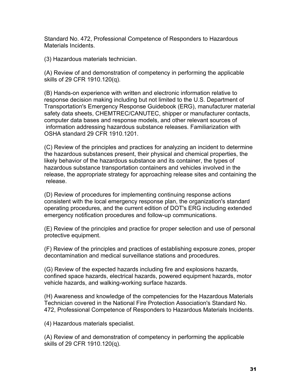Standard No. 472, Professional Competence of Responders to Hazardous Materials Incidents.

(3) Hazardous materials technician.

(A) Review of and demonstration of competency in performing the applicable skills of 29 CFR 1910.120(q).

(B) Hands-on experience with written and electronic information relative to response decision making including but not limited to the U.S. Department of Transportation's Emergency Response Guidebook (ERG), manufacturer material safety data sheets, CHEMTREC/CANUTEC, shipper or manufacturer contacts, computer data bases and response models, and other relevant sources of information addressing hazardous substance releases. Familiarization with OSHA standard 29 CFR 1910.1201.

(C) Review of the principles and practices for analyzing an incident to determine the hazardous substances present, their physical and chemical properties, the likely behavior of the hazardous substance and its container, the types of hazardous substance transportation containers and vehicles involved in the release, the appropriate strategy for approaching release sites and containing the release.

(D) Review of procedures for implementing continuing response actions consistent with the local emergency response plan, the organization's standard operating procedures, and the current edition of DOT's ERG including extended emergency notification procedures and follow-up communications.

(E) Review of the principles and practice for proper selection and use of personal protective equipment.

(F) Review of the principles and practices of establishing exposure zones, proper decontamination and medical surveillance stations and procedures.

(G) Review of the expected hazards including fire and explosions hazards, confined space hazards, electrical hazards, powered equipment hazards, motor vehicle hazards, and walking-working surface hazards.

(H) Awareness and knowledge of the competencies for the Hazardous Materials Technician covered in the National Fire Protection Association's Standard No. 472, Professional Competence of Responders to Hazardous Materials Incidents.

(4) Hazardous materials specialist.

(A) Review of and demonstration of competency in performing the applicable skills of 29 CFR 1910.120(q).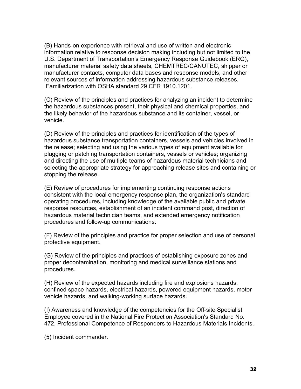(B) Hands-on experience with retrieval and use of written and electronic information relative to response decision making including but not limited to the U.S. Department of Transportation's Emergency Response Guidebook (ERG), manufacturer material safety data sheets, CHEMTREC/CANUTEC, shipper or manufacturer contacts, computer data bases and response models, and other relevant sources of information addressing hazardous substance releases. Familiarization with OSHA standard 29 CFR 1910.1201.

(C) Review of the principles and practices for analyzing an incident to determine the hazardous substances present, their physical and chemical properties, and the likely behavior of the hazardous substance and its container, vessel, or vehicle.

(D) Review of the principles and practices for identification of the types of hazardous substance transportation containers, vessels and vehicles involved in the release; selecting and using the various types of equipment available for plugging or patching transportation containers, vessels or vehicles; organizing and directing the use of multiple teams of hazardous material technicians and selecting the appropriate strategy for approaching release sites and containing or stopping the release.

(E) Review of procedures for implementing continuing response actions consistent with the local emergency response plan, the organization's standard operating procedures, including knowledge of the available public and private response resources, establishment of an incident command post, direction of hazardous material technician teams, and extended emergency notification procedures and follow-up communications.

(F) Review of the principles and practice for proper selection and use of personal protective equipment.

(G) Review of the principles and practices of establishing exposure zones and proper decontamination, monitoring and medical surveillance stations and procedures.

(H) Review of the expected hazards including fire and explosions hazards, confined space hazards, electrical hazards, powered equipment hazards, motor vehicle hazards, and walking-working surface hazards.

(I) Awareness and knowledge of the competencies for the Off-site Specialist Employee covered in the National Fire Protection Association's Standard No. 472, Professional Competence of Responders to Hazardous Materials Incidents.

(5) Incident commander.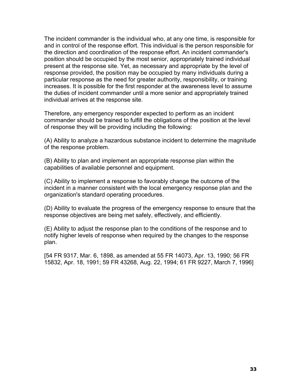The incident commander is the individual who, at any one time, is responsible for and in control of the response effort. This individual is the person responsible for the direction and coordination of the response effort. An incident commander's position should be occupied by the most senior, appropriately trained individual present at the response site. Yet, as necessary and appropriate by the level of response provided, the position may be occupied by many individuals during a particular response as the need for greater authority, responsibility, or training increases. It is possible for the first responder at the awareness level to assume the duties of incident commander until a more senior and appropriately trained individual arrives at the response site.

Therefore, any emergency responder expected to perform as an incident commander should be trained to fulfill the obligations of the position at the level of response they will be providing including the following:

(A) Ability to analyze a hazardous substance incident to determine the magnitude of the response problem.

(B) Ability to plan and implement an appropriate response plan within the capabilities of available personnel and equipment.

(C) Ability to implement a response to favorably change the outcome of the incident in a manner consistent with the local emergency response plan and the organization's standard operating procedures.

(D) Ability to evaluate the progress of the emergency response to ensure that the response objectives are being met safely, effectively, and efficiently.

(E) Ability to adjust the response plan to the conditions of the response and to notify higher levels of response when required by the changes to the response plan.

[54 FR 9317, Mar. 6, 1898, as amended at 55 FR 14073, Apr. 13, 1990; 56 FR 15832, Apr. 18, 1991; 59 FR 43268, Aug. 22, 1994; 61 FR 9227, March 7, 1996]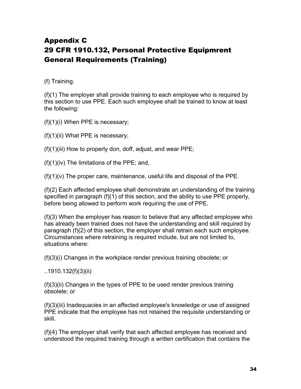# Appendix C 29 CFR 1910.132, Personal Protective Equipmrent General Requirements (Training)

(f) Training.

(f)(1) The employer shall provide training to each employee who is required by this section to use PPE. Each such employee shall be trained to know at least the following:

(f)(1)(i) When PPE is necessary;

(f)(1)(ii) What PPE is necessary;

(f)(1)(iii) How to properly don, doff, adjust, and wear PPE;

(f)(1)(iv) The limitations of the PPE; and,

 $(f)(1)(v)$  The proper care, maintenance, useful life and disposal of the PPE.

(f)(2) Each affected employee shall demonstrate an understanding of the training specified in paragraph  $(f)(1)$  of this section, and the ability to use PPE properly, before being allowed to perform work requiring the use of PPE.

(f)(3) When the employer has reason to believe that any affected employee who has already been trained does not have the understanding and skill required by paragraph (f)(2) of this section, the employer shall retrain each such employee. Circumstances where retraining is required include, but are not limited to, situations where:

(f)(3)(i) Changes in the workplace render previous training obsolete; or

..1910.132(f)(3)(ii)

(f)(3)(ii) Changes in the types of PPE to be used render previous training obsolete; or

(f)(3)(iii) Inadequacies in an affected employee's knowledge or use of assigned PPE indicate that the employee has not retained the requisite understanding or skill.

(f)(4) The employer shall verify that each affected employee has received and understood the required training through a written certification that contains the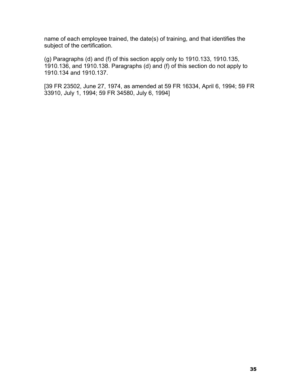name of each employee trained, the date(s) of training, and that identifies the subject of the certification.

(g) Paragraphs (d) and (f) of this section apply only to 1910.133, 1910.135, 1910.136, and 1910.138. Paragraphs (d) and (f) of this section do not apply to 1910.134 and 1910.137.

[39 FR 23502, June 27, 1974, as amended at 59 FR 16334, April 6, 1994; 59 FR 33910, July 1, 1994; 59 FR 34580, July 6, 1994]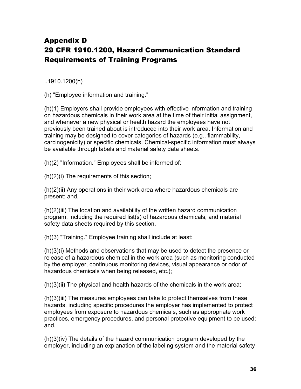# Appendix D 29 CFR 1910.1200, Hazard Communication Standard Requirements of Training Programs

..1910.1200(h)

(h) "Employee information and training."

(h)(1) Employers shall provide employees with effective information and training on hazardous chemicals in their work area at the time of their initial assignment, and whenever a new physical or health hazard the employees have not previously been trained about is introduced into their work area. Information and training may be designed to cover categories of hazards (e.g., flammability, carcinogenicity) or specific chemicals. Chemical-specific information must always be available through labels and material safety data sheets.

(h)(2) "Information." Employees shall be informed of:

(h)(2)(i) The requirements of this section;

(h)(2)(ii) Any operations in their work area where hazardous chemicals are present; and,

(h)(2)(iii) The location and availability of the written hazard communication program, including the required list(s) of hazardous chemicals, and material safety data sheets required by this section.

(h)(3) "Training." Employee training shall include at least:

(h)(3)(i) Methods and observations that may be used to detect the presence or release of a hazardous chemical in the work area (such as monitoring conducted by the employer, continuous monitoring devices, visual appearance or odor of hazardous chemicals when being released, etc.);

(h)(3)(ii) The physical and health hazards of the chemicals in the work area;

(h)(3)(iii) The measures employees can take to protect themselves from these hazards, including specific procedures the employer has implemented to protect employees from exposure to hazardous chemicals, such as appropriate work practices, emergency procedures, and personal protective equipment to be used; and,

(h)(3)(iv) The details of the hazard communication program developed by the employer, including an explanation of the labeling system and the material safety